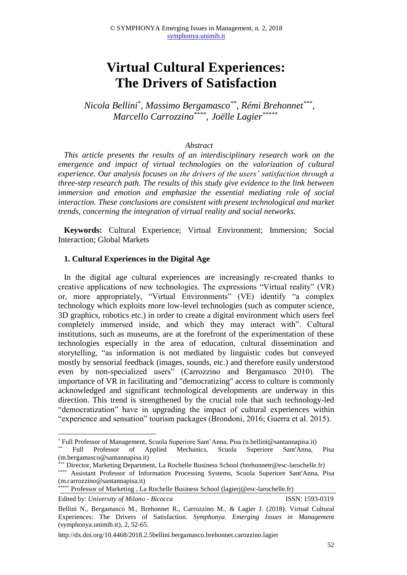# **Virtual Cultural Experiences: The Drivers of Satisfaction**

*Nicola Bellini\* , Massimo Bergamasco\*\* , Rémi Brehonnet\*\*\* , Marcello Carrozzino\*\*\*\* , Joëlle Lagier\*\*\*\*\**

## *Abstract*

*This article presents the results of an interdisciplinary research work on the emergence and impact of virtual technologies on the valorization of cultural experience. Our analysis focuses on the drivers of the users' satisfaction through a three-step research path. The results of this study give evidence to the link between immersion and emotion and emphasize the essential mediating role of social interaction. These conclusions are consistent with present technological and market trends, concerning the integration of virtual reality and social networks.*

**Keywords:** Cultural Experience; Virtual Environment; Immersion; Social Interaction; Global Markets

#### **1. Cultural Experiences in the Digital Age**

In the digital age cultural experiences are increasingly re-created thanks to creative applications of new technologies. The expressions "Virtual reality" (VR) or, more appropriately, "Virtual Environments" (VE) identify "a complex technology which exploits more low-level technologies (such as computer science, 3D graphics, robotics etc.) in order to create a digital environment which users feel completely immersed inside, and which they may interact with". Cultural institutions, such as museums, are at the forefront of the experimentation of these technologies especially in the area of education, cultural dissemination and storytelling, "as information is not mediated by linguistic codes but conveyed mostly by sensorial feedback (images, sounds, etc.) and therefore easily understood even by non-specialized users" (Carrozzino and Bergamasco 2010). The importance of VR in facilitating and "democratizing" access to culture is commonly acknowledged and significant technological developments are underway in this direction. This trend is strengthened by the crucial role that such technology-led "democratization" have in upgrading the impact of cultural experiences within "experience and sensation" tourism packages (Brondoni, 2016; Guerra et al. 2015).

Edited by: *University of Milano - Bicocca* ISSN: 1593-0319

**.** 

<sup>\*</sup> Full Professor of Management, Scuola Superiore Sant'Anna, Pisa (n.bellini@santannapisa.it)

<sup>\*\*</sup> Full Professor of Applied Mechanics, Scuola Superiore Sant'Anna, Pisa (m.bergamasco@santannapisa.it)

<sup>\*\*\*</sup> Director, Marketing Department, La Rochelle Business School (brehonnetr@esc-larochelle.fr) \*\*\*\* Assistant Professor of Information Processing Systems, Scuola Superiore Sant'Anna, Pisa (m.carrozzino@santannapisa.it)

<sup>\*\*\*</sup> Professor of Marketing, La Rochelle Business School (lagierj@esc-larochelle.fr)

Bellini N., Bergamasco M., Brehonnet R., Carrozzino M., & Lagier J. (2018). Virtual Cultural Experiences: The Drivers of Satisfaction. *Symphonya. Emerging Issues in Management* (symphonya.unimib.it), 2, 52-65.

http://dx.doi.org/10.4468/2018.2.5bellini.bergamasco.brehonnet.carozzino.lagier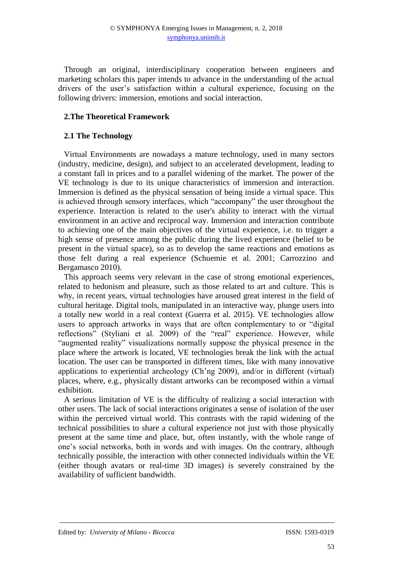Through an original, interdisciplinary cooperation between engineers and marketing scholars this paper intends to advance in the understanding of the actual drivers of the user's satisfaction within a cultural experience, focusing on the following drivers: immersion, emotions and social interaction.

## **2.The Theoretical Framework**

## **2.1 The Technology**

Virtual Environments are nowadays a mature technology, used in many sectors (industry, medicine, design), and subject to an accelerated development, leading to a constant fall in prices and to a parallel widening of the market. The power of the VE technology is due to its unique characteristics of immersion and interaction. Immersion is defined as the physical sensation of being inside a virtual space. This is achieved through sensory interfaces, which "accompany" the user throughout the experience. Interaction is related to the user's ability to interact with the virtual environment in an active and reciprocal way. Immersion and interaction contribute to achieving one of the main objectives of the virtual experience, i.e. to trigger a high sense of presence among the public during the lived experience (belief to be present in the virtual space), so as to develop the same reactions and emotions as those felt during a real experience (Schuemie et al. 2001; Carrozzino and Bergamasco 2010).

This approach seems very relevant in the case of strong emotional experiences, related to hedonism and pleasure, such as those related to art and culture. This is why, in recent years, virtual technologies have aroused great interest in the field of cultural heritage. Digital tools, manipulated in an interactive way, plunge users into a totally new world in a real context (Guerra et al. 2015). VE technologies allow users to approach artworks in ways that are often complementary to or "digital reflections" (Styliani et al. 2009) of the "real" experience. However, while "augmented reality" visualizations normally suppose the physical presence in the place where the artwork is located, VE technologies break the link with the actual location. The user can be transported in different times, like with many innovative applications to experiential archeology (Ch'ng 2009), and/or in different (virtual) places, where, e.g., physically distant artworks can be recomposed within a virtual exhibition.

A serious limitation of VE is the difficulty of realizing a social interaction with other users. The lack of social interactions originates a sense of isolation of the user within the perceived virtual world. This contrasts with the rapid widening of the technical possibilities to share a cultural experience not just with those physically present at the same time and place, but, often instantly, with the whole range of one's social networks, both in words and with images. On the contrary, although technically possible, the interaction with other connected individuals within the VE (either though avatars or real-time 3D images) is severely constrained by the availability of sufficient bandwidth.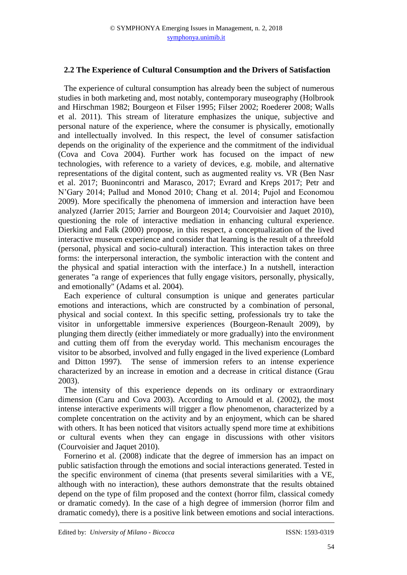## **2.2 The Experience of Cultural Consumption and the Drivers of Satisfaction**

The experience of cultural consumption has already been the subject of numerous studies in both marketing and, most notably, contemporary museography (Holbrook and Hirschman 1982; Bourgeon et Filser 1995; Filser 2002; Roederer 2008; Walls et al. 2011). This stream of literature emphasizes the unique, subjective and personal nature of the experience, where the consumer is physically, emotionally and intellectually involved. In this respect, the level of consumer satisfaction depends on the originality of the experience and the commitment of the individual (Cova and Cova 2004). Further work has focused on the impact of new technologies, with reference to a variety of devices, e.g. mobile, and alternative representations of the digital content, such as augmented reality vs. VR (Ben Nasr et al. 2017; Buonincontri and Marasco, 2017; Evrard and Kreps 2017; Petr and N'Gary 2014; Pallud and Monod 2010; Chang et al. 2014; Pujol and Economou 2009). More specifically the phenomena of immersion and interaction have been analyzed (Jarrier 2015; Jarrier and Bourgeon 2014; Courvoisier and Jaquet 2010), questioning the role of interactive mediation in enhancing cultural experience. Dierking and Falk (2000) propose, in this respect, a conceptualization of the lived interactive museum experience and consider that learning is the result of a threefold (personal, physical and socio-cultural) interaction. This interaction takes on three forms: the interpersonal interaction, the symbolic interaction with the content and the physical and spatial interaction with the interface.) In a nutshell, interaction generates "a range of experiences that fully engage visitors, personally, physically, and emotionally" (Adams et al. 2004).

Each experience of cultural consumption is unique and generates particular emotions and interactions, which are constructed by a combination of personal, physical and social context. In this specific setting, professionals try to take the visitor in unforgettable immersive experiences (Bourgeon-Renault 2009), by plunging them directly (either immediately or more gradually) into the environment and cutting them off from the everyday world. This mechanism encourages the visitor to be absorbed, involved and fully engaged in the lived experience (Lombard and Ditton 1997). The sense of immersion refers to an intense experience characterized by an increase in emotion and a decrease in critical distance (Grau 2003).

The intensity of this experience depends on its ordinary or extraordinary dimension (Caru and Cova 2003). According to Arnould et al. (2002), the most intense interactive experiments will trigger a flow phenomenon, characterized by a complete concentration on the activity and by an enjoyment, which can be shared with others. It has been noticed that visitors actually spend more time at exhibitions or cultural events when they can engage in discussions with other visitors (Courvoisier and Jaquet 2010).

Fornerino et al. (2008) indicate that the degree of immersion has an impact on public satisfaction through the emotions and social interactions generated. Tested in the specific environment of cinema (that presents several similarities with a VE, although with no interaction), these authors demonstrate that the results obtained depend on the type of film proposed and the context (horror film, classical comedy or dramatic comedy). In the case of a high degree of immersion (horror film and dramatic comedy), there is a positive link between emotions and social interactions.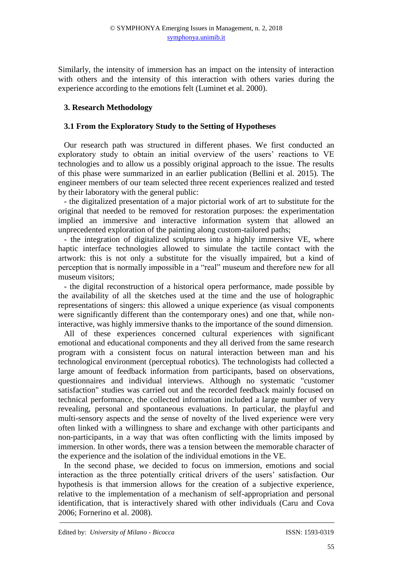Similarly, the intensity of immersion has an impact on the intensity of interaction with others and the intensity of this interaction with others varies during the experience according to the emotions felt (Luminet et al. 2000).

# **3. Research Methodology**

## **3.1 From the Exploratory Study to the Setting of Hypotheses**

Our research path was structured in different phases. We first conducted an exploratory study to obtain an initial overview of the users' reactions to VE technologies and to allow us a possibly original approach to the issue. The results of this phase were summarized in an earlier publication (Bellini et al. 2015). The engineer members of our team selected three recent experiences realized and tested by their laboratory with the general public:

- the digitalized presentation of a major pictorial work of art to substitute for the original that needed to be removed for restoration purposes: the experimentation implied an immersive and interactive information system that allowed an unprecedented exploration of the painting along custom-tailored paths;

- the integration of digitalized sculptures into a highly immersive VE, where haptic interface technologies allowed to simulate the tactile contact with the artwork: this is not only a substitute for the visually impaired, but a kind of perception that is normally impossible in a "real" museum and therefore new for all museum visitors;

- the digital reconstruction of a historical opera performance, made possible by the availability of all the sketches used at the time and the use of holographic representations of singers: this allowed a unique experience (as visual components were significantly different than the contemporary ones) and one that, while noninteractive, was highly immersive thanks to the importance of the sound dimension.

All of these experiences concerned cultural experiences with significant emotional and educational components and they all derived from the same research program with a consistent focus on natural interaction between man and his technological environment (perceptual robotics). The technologists had collected a large amount of feedback information from participants, based on observations, questionnaires and individual interviews. Although no systematic "customer satisfaction" studies was carried out and the recorded feedback mainly focused on technical performance, the collected information included a large number of very revealing, personal and spontaneous evaluations. In particular, the playful and multi-sensory aspects and the sense of novelty of the lived experience were very often linked with a willingness to share and exchange with other participants and non-participants, in a way that was often conflicting with the limits imposed by immersion. In other words, there was a tension between the memorable character of the experience and the isolation of the individual emotions in the VE.

In the second phase, we decided to focus on immersion, emotions and social interaction as the three potentially critical drivers of the users' satisfaction. Our hypothesis is that immersion allows for the creation of a subjective experience, relative to the implementation of a mechanism of self-appropriation and personal identification, that is interactively shared with other individuals (Caru and Cova 2006; Fornerino et al. 2008).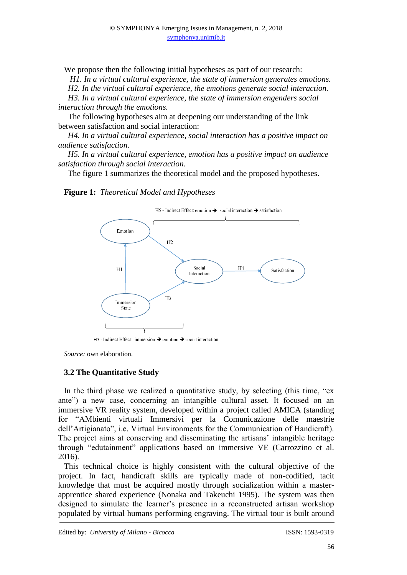We propose then the following initial hypotheses as part of our research:

*H1. In a virtual cultural experience, the state of immersion generates emotions.* 

*H2. In the virtual cultural experience, the emotions generate social interaction.* 

*H3. In a virtual cultural experience, the state of immersion engenders social interaction through the emotions.*

The following hypotheses aim at deepening our understanding of the link between satisfaction and social interaction:

*H4. In a virtual cultural experience, social interaction has a positive impact on audience satisfaction.*

*H5. In a virtual cultural experience, emotion has a positive impact on audience satisfaction through social interaction.*

The figure 1 summarizes the theoretical model and the proposed hypotheses.

#### **Figure 1:** *Theoretical Model and Hypotheses*



H<sub>3</sub> - Indirect Effect: immersion  $\rightarrow$  emotion  $\rightarrow$  social interaction

*Source:* own elaboration.

# **3.2 The Quantitative Study**

In the third phase we realized a quantitative study, by selecting (this time, "ex ante") a new case, concerning an intangible cultural asset. It focused on an immersive VR reality system, developed within a project called AMICA (standing for "AMbienti virtuali Immersivi per la Comunicazione delle maestrie dell'Artigianato", i.e. Virtual Environments for the Communication of Handicraft). The project aims at conserving and disseminating the artisans' intangible heritage through "edutainment" applications based on immersive VE (Carrozzino et al. 2016).

This technical choice is highly consistent with the cultural objective of the project. In fact, handicraft skills are typically made of non-codified, tacit knowledge that must be acquired mostly through socialization within a masterapprentice shared experience (Nonaka and Takeuchi 1995). The system was then designed to simulate the learner's presence in a reconstructed artisan workshop populated by virtual humans performing engraving. The virtual tour is built around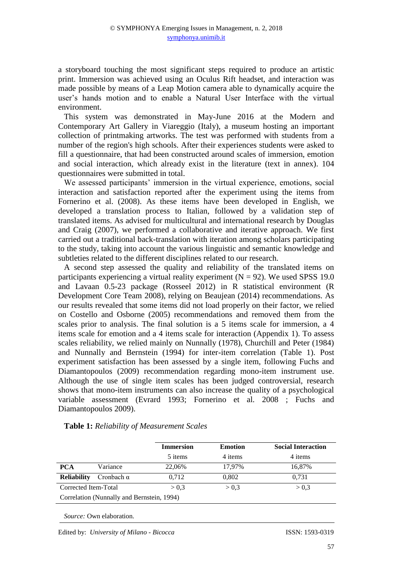a storyboard touching the most significant steps required to produce an artistic print. Immersion was achieved using an Oculus Rift headset, and interaction was made possible by means of a Leap Motion camera able to dynamically acquire the user's hands motion and to enable a Natural User Interface with the virtual environment.

This system was demonstrated in May-June 2016 at the Modern and Contemporary Art Gallery in Viareggio (Italy), a museum hosting an important collection of printmaking artworks. The test was performed with students from a number of the region's high schools. After their experiences students were asked to fill a questionnaire, that had been constructed around scales of immersion, emotion and social interaction, which already exist in the literature (text in annex). 104 questionnaires were submitted in total.

We assessed participants' immersion in the virtual experience, emotions, social interaction and satisfaction reported after the experiment using the items from Fornerino et al. (2008). As these items have been developed in English, we developed a translation process to Italian, followed by a validation step of translated items. As advised for multicultural and international research by Douglas and Craig (2007), we performed a collaborative and iterative approach. We first carried out a traditional back-translation with iteration among scholars participating to the study, taking into account the various linguistic and semantic knowledge and subtleties related to the different disciplines related to our research.

A second step assessed the quality and reliability of the translated items on participants experiencing a virtual reality experiment ( $N = 92$ ). We used SPSS 19.0 and Lavaan 0.5-23 package (Rosseel 2012) in R statistical environment (R Development Core Team 2008), relying on Beaujean (2014) recommendations. As our results revealed that some items did not load properly on their factor, we relied on Costello and Osborne (2005) recommendations and removed them from the scales prior to analysis. The final solution is a 5 items scale for immersion, a 4 items scale for emotion and a 4 items scale for interaction (Appendix 1). To assess scales reliability, we relied mainly on Nunnally (1978), Churchill and Peter (1984) and Nunnally and Bernstein (1994) for inter-item correlation (Table 1). Post experiment satisfaction has been assessed by a single item, following Fuchs and Diamantopoulos (2009) recommendation regarding mono-item instrument use. Although the use of single item scales has been judged controversial, research shows that mono-item instruments can also increase the quality of a psychological variable assessment (Evrard 1993; Fornerino et al. 2008 ; Fuchs and Diamantopoulos 2009).

|                                            |                   | <b>Immersion</b> | <b>Emotion</b> | <b>Social Interaction</b> |  |  |  |  |
|--------------------------------------------|-------------------|------------------|----------------|---------------------------|--|--|--|--|
|                                            |                   | 5 items          | 4 items        | 4 items                   |  |  |  |  |
| <b>PCA</b>                                 | Variance          | 22,06%           | 17.97%         | 16,87%                    |  |  |  |  |
| <b>Reliability</b>                         | Cronbach $\alpha$ | 0.712            | 0,802          | 0.731                     |  |  |  |  |
| Corrected Item-Total                       |                   | > 0.3            | > 0.3          | > 0.3                     |  |  |  |  |
| Correlation (Nunnally and Bernstein, 1994) |                   |                  |                |                           |  |  |  |  |
|                                            |                   |                  |                |                           |  |  |  |  |

**Table 1:** *Reliability of Measurement Scales*

*Source:* Own elaboration.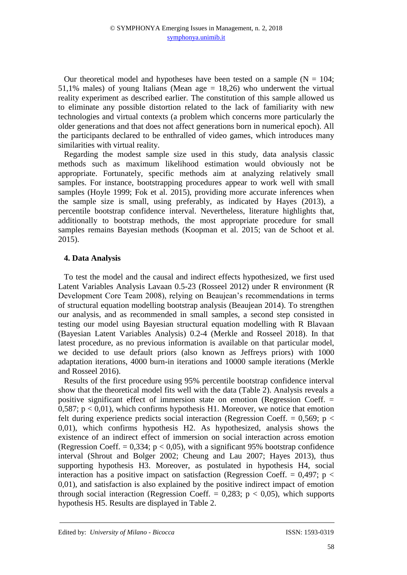Our theoretical model and hypotheses have been tested on a sample  $(N = 104)$ ; 51,1% males) of young Italians (Mean age  $= 18,26$ ) who underwent the virtual reality experiment as described earlier. The constitution of this sample allowed us to eliminate any possible distortion related to the lack of familiarity with new technologies and virtual contexts (a problem which concerns more particularly the older generations and that does not affect generations born in numerical epoch). All the participants declared to be enthralled of video games, which introduces many similarities with virtual reality.

Regarding the modest sample size used in this study, data analysis classic methods such as maximum likelihood estimation would obviously not be appropriate. Fortunately, specific methods aim at analyzing relatively small samples. For instance, bootstrapping procedures appear to work well with small samples (Hoyle 1999; Fok et al. 2015), providing more accurate inferences when the sample size is small, using preferably, as indicated by Hayes (2013), a percentile bootstrap confidence interval. Nevertheless, literature highlights that, additionally to bootstrap methods, the most appropriate procedure for small samples remains Bayesian methods (Koopman et al. 2015; van de Schoot et al. 2015).

## **4. Data Analysis**

To test the model and the causal and indirect effects hypothesized, we first used Latent Variables Analysis Lavaan 0.5-23 (Rosseel 2012) under R environment (R Development Core Team 2008), relying on Beaujean's recommendations in terms of structural equation modelling bootstrap analysis (Beaujean 2014). To strengthen our analysis, and as recommended in small samples, a second step consisted in testing our model using Bayesian structural equation modelling with R Blavaan (Bayesian Latent Variables Analysis) 0.2-4 (Merkle and Rosseel 2018). In that latest procedure, as no previous information is available on that particular model, we decided to use default priors (also known as Jeffreys priors) with 1000 adaptation iterations, 4000 burn-in iterations and 10000 sample iterations (Merkle and Rosseel 2016).

Results of the first procedure using 95% percentile bootstrap confidence interval show that the theoretical model fits well with the data (Table 2). Analysis reveals a positive significant effect of immersion state on emotion (Regression Coeff. = 0,587;  $p < 0.01$ ), which confirms hypothesis H1. Moreover, we notice that emotion felt during experience predicts social interaction (Regression Coeff. =  $0.569$ ; p < 0,01), which confirms hypothesis H2. As hypothesized, analysis shows the existence of an indirect effect of immersion on social interaction across emotion (Regression Coeff.  $= 0.334$ ;  $p < 0.05$ ), with a significant 95% bootstrap confidence interval (Shrout and Bolger 2002; Cheung and Lau 2007; Hayes 2013), thus supporting hypothesis H3. Moreover, as postulated in hypothesis H4, social interaction has a positive impact on satisfaction (Regression Coeff. =  $0.497$ ; p < 0,01), and satisfaction is also explained by the positive indirect impact of emotion through social interaction (Regression Coeff.  $= 0.283$ ; p  $< 0.05$ ), which supports hypothesis H5. Results are displayed in Table 2.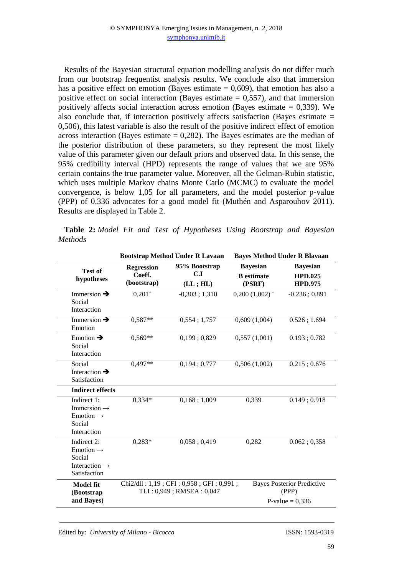Results of the Bayesian structural equation modelling analysis do not differ much from our bootstrap frequentist analysis results. We conclude also that immersion has a positive effect on emotion (Bayes estimate  $= 0.609$ ), that emotion has also a positive effect on social interaction (Bayes estimate  $= 0.557$ ), and that immersion positively affects social interaction across emotion (Bayes estimate  $= 0.339$ ). We also conclude that, if interaction positively affects satisfaction (Bayes estimate  $=$ 0,506), this latest variable is also the result of the positive indirect effect of emotion across interaction (Bayes estimate  $= 0.282$ ). The Bayes estimates are the median of the posterior distribution of these parameters, so they represent the most likely value of this parameter given our default priors and observed data. In this sense, the 95% credibility interval (HPD) represents the range of values that we are 95% certain contains the true parameter value. Moreover, all the Gelman-Rubin statistic, which uses multiple Markov chains Monte Carlo (MCMC) to evaluate the model convergence, is below 1,05 for all parameters, and the model posterior p-value (PPP) of 0,336 advocates for a good model fit (Muthén and Asparouhov 2011). Results are displayed in Table 2.

|                |  |  | <b>Table 2:</b> Model Fit and Test of Hypotheses Using Bootstrap and Bayesian |  |  |
|----------------|--|--|-------------------------------------------------------------------------------|--|--|
| <i>Methods</i> |  |  |                                                                               |  |  |

|                                                                                             |                       | <b>Bootstrap Method Under R Lavaan</b>                                 |                             | <b>Bayes Method Under R Blavaan</b>                             |  |  |
|---------------------------------------------------------------------------------------------|-----------------------|------------------------------------------------------------------------|-----------------------------|-----------------------------------------------------------------|--|--|
| <b>Test of</b>                                                                              | <b>Regression</b>     | 95% Bootstrap                                                          | <b>Bayesian</b>             | <b>Bayesian</b>                                                 |  |  |
| hypotheses                                                                                  | Coeff.<br>(bootstrap) | C.I<br>(LL; HL)                                                        | <b>B</b> estimate<br>(PSRF) | <b>HPD.025</b><br><b>HPD.975</b>                                |  |  |
| Immersion $\rightarrow$<br>Social<br>Interaction                                            | $0,201+$              | $-0,303;1,310$                                                         | $0,200(1,002)^{+}$          | $-0.236$ ; 0,891                                                |  |  |
| Immersion $\rightarrow$<br>Emotion                                                          | $0.587**$             | 0,554;1,757                                                            | 0,609(1,004)                | $0.526$ ; 1.694                                                 |  |  |
| Emotion $\rightarrow$<br>Social<br>Interaction                                              | $0,569**$             | 0,199;0,829                                                            | 0,557(1,001)                | 0.193; 0.782                                                    |  |  |
| Social<br>Interaction $\rightarrow$<br>Satisfaction                                         | $0,497**$             | 0,194;0,777                                                            | 0,506(1,002)                | $0.215$ ; 0.676                                                 |  |  |
| <b>Indirect effects</b>                                                                     |                       |                                                                        |                             |                                                                 |  |  |
| Indirect 1:<br>Immersion $\rightarrow$<br>Emotion $\rightarrow$<br>Social<br>Interaction    | $0,334*$              | 0,168;1,009                                                            | 0,339                       | 0.149; 0.918                                                    |  |  |
| Indirect 2:<br>Emotion $\rightarrow$<br>Social<br>Interaction $\rightarrow$<br>Satisfaction | $0,283*$              | 0,058;0,419                                                            | 0,282                       | 0.062; 0.358                                                    |  |  |
| <b>Model fit</b><br>(Bootstrap<br>and Bayes)                                                |                       | $Chi2/dll$ : 1,19; CFI: 0,958; GFI: 0,991;<br>TLI: 0,949; RMSEA: 0,047 |                             | <b>Bayes Posterior Predictive</b><br>(PPP)<br>P-value = $0,336$ |  |  |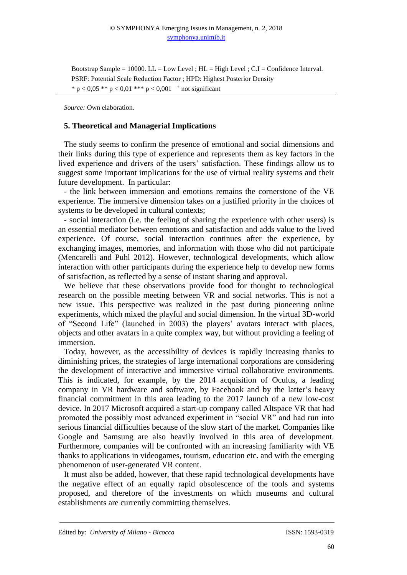Bootstrap Sample = 10000.  $LL = Low Level$ ;  $HL = High Level$ ;  $C.I = Confidence Interval$ . PSRF: Potential Scale Reduction Factor ; HPD: Highest Posterior Density \*  $p < 0.05$  \*\*  $p < 0.01$  \*\*\*  $p < 0.001$  + not significant

*Source:* Own elaboration.

#### **5. Theoretical and Managerial Implications**

The study seems to confirm the presence of emotional and social dimensions and their links during this type of experience and represents them as key factors in the lived experience and drivers of the users' satisfaction. These findings allow us to suggest some important implications for the use of virtual reality systems and their future development. In particular:

- the link between immersion and emotions remains the cornerstone of the VE experience. The immersive dimension takes on a justified priority in the choices of systems to be developed in cultural contexts;

- social interaction (i.e. the feeling of sharing the experience with other users) is an essential mediator between emotions and satisfaction and adds value to the lived experience. Of course, social interaction continues after the experience, by exchanging images, memories, and information with those who did not participate (Mencarelli and Puhl 2012). However, technological developments, which allow interaction with other participants during the experience help to develop new forms of satisfaction, as reflected by a sense of instant sharing and approval.

We believe that these observations provide food for thought to technological research on the possible meeting between VR and social networks. This is not a new issue. This perspective was realized in the past during pioneering online experiments, which mixed the playful and social dimension. In the virtual 3D-world of "Second Life" (launched in 2003) the players' avatars interact with places, objects and other avatars in a quite complex way, but without providing a feeling of immersion.

Today, however, as the accessibility of devices is rapidly increasing thanks to diminishing prices, the strategies of large international corporations are considering the development of interactive and immersive virtual collaborative environments. This is indicated, for example, by the 2014 acquisition of Oculus, a leading company in VR hardware and software, by Facebook and by the latter's heavy financial commitment in this area leading to the 2017 launch of a new low-cost device. In 2017 Microsoft acquired a start-up company called Altspace VR that had promoted the possibly most advanced experiment in "social VR" and had run into serious financial difficulties because of the slow start of the market. Companies like Google and Samsung are also heavily involved in this area of development. Furthermore, companies will be confronted with an increasing familiarity with VE thanks to applications in videogames, tourism, education etc. and with the emerging phenomenon of user-generated VR content.

It must also be added, however, that these rapid technological developments have the negative effect of an equally rapid obsolescence of the tools and systems proposed, and therefore of the investments on which museums and cultural establishments are currently committing themselves.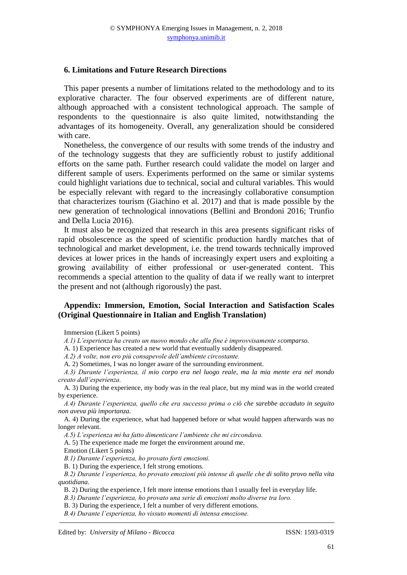### **6. Limitations and Future Research Directions**

This paper presents a number of limitations related to the methodology and to its explorative character. The four observed experiments are of different nature, although approached with a consistent technological approach. The sample of respondents to the questionnaire is also quite limited, notwithstanding the advantages of its homogeneity. Overall, any generalization should be considered with care.

Nonetheless, the convergence of our results with some trends of the industry and of the technology suggests that they are sufficiently robust to justify additional efforts on the same path. Further research could validate the model on larger and different sample of users. Experiments performed on the same or similar systems could highlight variations due to technical, social and cultural variables. This would be especially relevant with regard to the increasingly collaborative consumption that characterizes tourism (Giachino et al. 2017) and that is made possible by the new generation of technological innovations (Bellini and Brondoni 2016; Trunfio and Della Lucia 2016).

It must also be recognized that research in this area presents significant risks of rapid obsolescence as the speed of scientific production hardly matches that of technological and market development, i.e. the trend towards technically improved devices at lower prices in the hands of increasingly expert users and exploiting a growing availability of either professional or user-generated content. This recommends a special attention to the quality of data if we really want to interpret the present and not (although rigorously) the past.

## **Appendix: Immersion, Emotion, Social Interaction and Satisfaction Scales (Original Questionnaire in Italian and English Translation)**

Immersion (Likert 5 points)

*A.1) L'esperienza ha creato un nuovo mondo che alla fine è improvvisamente scomparso.*

A. 1) Experience has created a new world that eventually suddenly disappeared.

*A.2) A volte, non ero più consapevole dell'ambiente circostante.*

A. 2) Sometimes, I was no longer aware of the surrounding environment.

*A.3) Durante l'esperienza, il mio corpo era nel luogo reale, ma la mia mente era nel mondo creato dall'esperienza.*

A. 3) During the experience, my body was in the real place, but my mind was in the world created by experience.

*A.4) Durante l'esperienza, quello che era successo prima o ciò che sarebbe accaduto in seguito non aveva più importanza.* 

A. 4) During the experience, what had happened before or what would happen afterwards was no longer relevant.

*A.5) L'esperienza mi ha fatto dimenticare l'ambiente che mi circondava.*

A. 5) The experience made me forget the environment around me.

Emotion (Likert 5 points)

*B.1) Durante l'esperienza, ho provato forti emozioni.*

B. 1) During the experience, I felt strong emotions.

*B.2) Durante l'esperienza, ho provato emozioni più intense di quelle che di solito provo nella vita quotidiana.* 

B. 2) During the experience, I felt more intense emotions than I usually feel in everyday life.

*B.3) Durante l'esperienza, ho provato una serie di emozioni molto diverse tra loro.*

B. 3) During the experience, I felt a number of very different emotions.

*B.4) Durante l'esperienza, ho vissuto momenti di intensa emozione.*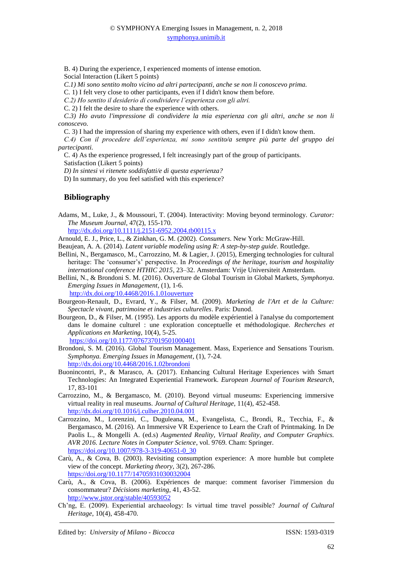B. 4) During the experience, I experienced moments of intense emotion. Social Interaction (Likert 5 points)

*C.1) Mi sono sentito molto vicino ad altri partecipanti, anche se non li conoscevo prima.*

C. 1) I felt very close to other participants, even if I didn't know them before.

*C.2) Ho sentito il desiderio di condividere l'esperienza con gli altri.*

C. 2) I felt the desire to share the experience with others.

*C.3) Ho avuto l'impressione di condividere la mia esperienza con gli altri, anche se non li conoscevo.* 

C. 3) I had the impression of sharing my experience with others, even if I didn't know them.

*C.4) Con il procedere dell'esperienza, mi sono sentito/a sempre più parte del gruppo dei partecipanti.*

C. 4) As the experience progressed, I felt increasingly part of the group of participants.

Satisfaction (Likert 5 points)

*D) In sintesi vi ritenete soddisfatti/e di questa esperienza?*

D) In summary, do you feel satisfied with this experience?

## **Bibliography**

Adams, M., Luke, J., & Moussouri, T. (2004). Interactivity: Moving beyond terminology. *Curator: The Museum Journal*, 47(2), 155-170.

<http://dx.doi.org/10.1111/j.2151-6952.2004.tb00115.x>

Arnould, E. J., Price, L., & Zinkhan, G. M. (2002). *Consumers*. New York: McGraw-Hill.

- Beaujean, A. A. (2014). *Latent variable modeling using R: A step-by-step guide*. Routledge.
- Bellini, N., Bergamasco, M., Carrozzino, M. & Lagier, J. (2015), Emerging technologies for cultural heritage: The 'consumer's' perspective. In *Proceedings of the heritage, tourism and hospitality international conference HTHIC 2015*, 23–32. Amsterdam: Vrije Universiteit Amsterdam.
- Bellini, N., & Brondoni S. M. (2016). Ouverture de Global Tourism in Global Markets, *Symphonya. Emerging Issues in Management*, (1), 1-6.

<http://dx.doi.org/10.4468/2016.1.01ouverture>

Bourgeon-Renault, D., Evrard, Y., & Filser, M. (2009). *Marketing de l'Art et de la Culture: Spectacle vivant, patrimoine et industries culturelles*. Paris: Dunod.

- Bourgeon, D., & Filser, M. (1995). Les apports du modèle expérientiel à l'analyse du comportement dans le domaine culturel : une exploration conceptuelle et méthodologique. *Recherches et Applications en Marketing*, 10(4), 5-25. <https://doi.org/10.1177/076737019501000401>
- Brondoni, S. M. (2016). Global Tourism Management. Mass, Experience and Sensations Tourism. *Symphonya. Emerging Issues in Management*, (1), 7-24. <http://dx.doi.org/10.4468/2016.1.02brondoni>
- Buonincontri, P., & Marasco, A. (2017). Enhancing Cultural Heritage Experiences with Smart Technologies: An Integrated Experiential Framework. *European Journal of Tourism Research*, 17, 83-101
- Carrozzino, M., & Bergamasco, M. (2010). Beyond virtual museums: Experiencing immersive virtual reality in real museums. *Journal of Cultural Heritage*, 11(4), 452-458. <http://dx.doi.org/10.1016/j.culher.2010.04.001>
- Carrozzino, M., Lorenzini, C., Duguleana, M., Evangelista, C., Brondi, R., Tecchia, F., & Bergamasco, M. (2016). An Immersive VR Experience to Learn the Craft of Printmaking. In De Paolis L., & Mongelli A. (ed.s) *Augmented Reality, Virtual Reality, and Computer Graphics. AVR 2016. Lecture Notes in Computer Science*, vol. 9769. Cham: Springer. [https://doi.org/10.1007/978-3-319-40651-0\\_30](https://doi.org/10.1007/978-3-319-40651-0_30)
- Carù, A., & Cova, B. (2003). Revisiting consumption experience: A more humble but complete view of the concept. *Marketing theory*, 3(2), 267-286. <https://doi.org/10.1177/14705931030032004>
- Carù, A., & Cova, B. (2006). Expériences de marque: comment favoriser l'immersion du consommateur? *Décisions marketing*, 41, 43-52. <http://www.jstor.org/stable/40593052>
- Ch'ng, E. (2009). Experiential archaeology: Is virtual time travel possible? *Journal of Cultural Heritage*, 10(4), 458-470.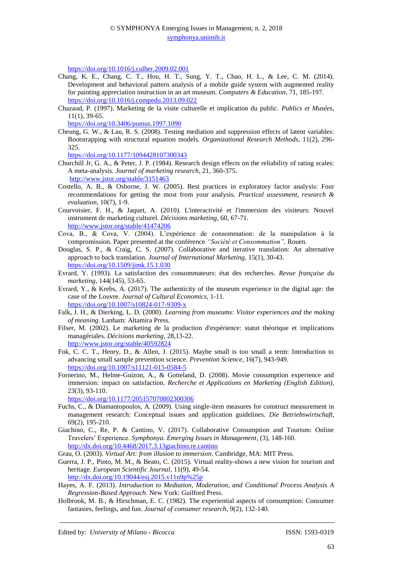<https://doi.org/10.1016/j.culher.2009.02.001>

- Chang, K. E., Chang, C. T., Hou, H. T., Sung, Y. T., Chao, H. L., & Lee, C. M. (2014). Development and behavioral pattern analysis of a mobile guide system with augmented reality for painting appreciation instruction in an art museum. *Computers & Education*, 71, 185-197. <https://doi.org/10.1016/j.compedu.2013.09.022>
- Chazaud, P. (1997). Marketing de la visite culturelle et implication du public. *Publics et Musées*, 11(1), 39-65.

<https://doi.org/10.3406/pumus.1997.1090>

Cheung, G. W., & Lau, R. S. (2008). Testing mediation and suppression effects of latent variables: Bootstrapping with structural equation models. *Organizational Research Methods*, 11(2), 296- 325.

<https://doi.org/10.1177/1094428107300343>

- Churchill Jr, G. A., & Peter, J. P. (1984). Research design effects on the reliability of rating scales: A meta-analysis. *Journal of marketing research*, 21, 360-375. <http://www.jstor.org/stable/3151463>
- Costello, A. B., & Osborne, J. W. (2005). Best practices in exploratory factor analysis: Four recommendations for getting the most from your analysis. *Practical assessment, research & evaluation*, 10(7), 1-9.
- Courvoisier, F. H., & Jaquet, A. (2010). L'interactivité et l'immersion des visiteurs: Nouvel instrument de marketing culturel. *Décisions marketing*, 60, 67-71. <http://www.jstor.org/stable/41474206>
- Cova, B., & Cova, V. (2004). L'expérience de consommation: de la manipulation à la compromission. Paper presented at the conférence *"Société et Consommation",* Rouen.
- Douglas, S. P., & Craig, C. S. (2007). Collaborative and iterative translation: An alternative approach to back translation. *Journal of International Marketing*, 15(1), 30-43. <https://doi.org/10.1509/jimk.15.1.030>
- Evrard, Y. (1993). La satisfaction des consommateurs: état des recherches. *Revue française du marketing*, 144(145), 53-65.
- Evrard, Y., & Krebs, A. (2017). The authenticity of the museum experience in the digital age: the case of the Louvre. *Journal of Cultural Economics*, 1-11. <https://doi.org/10.1007/s10824-017-9309-x>
- Falk, J. H., & Dierking, L. D. (2000). *Learning from museums: Visitor experiences and the making of meaning*. Lanham: Altamira Press.
- Filser, M. (2002). Le marketing de la production d'expérience: statut théorique et implications managériales. *Décisions marketing*, 28,13-22. <http://www.jstor.org/stable/40592824>
- Fok, C. C. T., Henry, D., & Allen, J. (2015). Maybe small is too small a term: Introduction to advancing small sample prevention science. *Prevention Science*, 16(7), 943-949. <https://doi.org/10.1007/s11121-015-0584-5>
- Fornerino, M., Helme-Guizon, A., & Gotteland, D. (2008). Movie consumption experience and immersion: impact on satisfaction. *Recherche et Applications en Marketing (English Edition),* 23(3), 93-110.

<https://doi.org/10.1177/205157070802300306>

- Fuchs, C., & Diamantopoulos, A. (2009). Using single-item measures for construct measurement in management research: Conceptual issues and application guidelines. *Die Betriebswirtschaft*, 69(2), 195-210.
- Giachino, C., Re, P. & Cantino, V. (2017). Collaborative Consumption and Tourism: Online Travelers' Experience. *Symphonya. Emerging Issues in Management*, (3), 148-160. <http://dx.doi.org/10.4468/2017.3.13giachino.re.cantino>

Grau, O. (2003). *Virtual Art: from illusion to immersion*. Cambridge, MA: MIT Press.

Guerra, J. P., Pinto, M. M., & Beato, C. (2015). Virtual reality-shows a new vision for tourism and heritage. *European Scientific Journal*, 11(9), 49-54.

<http://dx.doi.org/10.19044/esj.2015.v11n9p%25p>

Hayes, A. F. (2013). *Introduction to Mediation, Moderation, and Conditional Process Analysis A Regression-Based Approach*. New York: Guilford Press.

Holbrook, M. B., & Hirschman, E. C. (1982). The experiential aspects of consumption: Consumer fantasies, feelings, and fun. *Journal of consumer research*, 9(2), 132-140.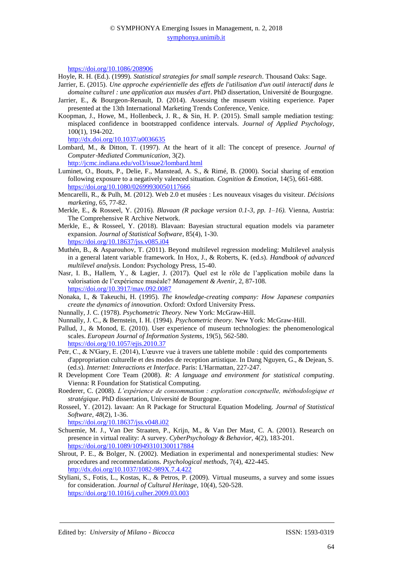<https://doi.org/10.1086/208906>

Hoyle, R. H. (Ed.). (1999). *Statistical strategies for small sample research*. Thousand Oaks: Sage.

- Jarrier, E. (2015). *Une approche expérientielle des effets de l'utilisation d'un outil interactif dans le domaine culturel : une application aux musées d'art*. PhD dissertation, Université de Bourgogne.
- Jarrier, E., & Bourgeon-Renault, D. (2014). Assessing the museum visiting experience. Paper presented at the 13th International Marketing Trends Conference, Venice.
- Koopman, J., Howe, M., Hollenbeck, J. R., & Sin, H. P. (2015). Small sample mediation testing: misplaced confidence in bootstrapped confidence intervals. *Journal of Applied Psychology*, 100(1), 194-202.

<http://dx.doi.org/10.1037/a0036635>

Lombard, M., & Ditton, T. (1997). At the heart of it all: The concept of presence. *Journal of Computer*‐*Mediated Communication*, 3(2).

<http://jcmc.indiana.edu/vol3/issue2/lombard.html>

- Luminet, O., Bouts, P., Delie, F., Manstead, A. S., & Rimé, B. (2000). Social sharing of emotion following exposure to a negatively valenced situation. *Cognition & Emotion*, 14(5), 661-688. <https://doi.org/10.1080/02699930050117666>
- Mencarelli, R., & Pulh, M. (2012). Web 2.0 et musées : Les nouveaux visages du visiteur. *Décisions marketing*, 65, 77-82.
- Merkle, E., & Rosseel, Y. (2016). *Blavaan (R package version 0.1-3, pp. 1–16).* Vienna, Austria: The Comprehensive R Archive Network.
- Merkle, E., & Rosseel, Y. (2018). Blavaan: Bayesian structural equation models via parameter expansion. *Journal of Statistical Software*, 85(4), 1-30. <https://doi.org/10.18637/jss.v085.i04>
- Muthén, B., & Asparouhov, T. (2011). Beyond multilevel regression modeling: Multilevel analysis in a general latent variable framework. In Hox, J., & Roberts, K. (ed.s). *Handbook of advanced multilevel analysis*. London: Psychology Press, 15-40.
- Nasr, I. B., Hallem, Y., & Lagier, J. (2017). Quel est le rôle de l'application mobile dans la valorisation de l'expérience muséale? *Management & Avenir*, 2, 87-108. <https://doi.org/10.3917/mav.092.0087>
- Nonaka, I., & Takeuchi, H. (1995). *The knowledge-creating company: How Japanese companies create the dynamics of innovation*. Oxford: Oxford University Press.
- Nunnally, J. C. (1978). *Psychometric Theory.* New York: McGraw-Hill.
- Nunnally, J. C., & Bernstein, I. H. (1994). *Psychometric theory.* New York: McGraw-Hill.
- Pallud, J., & Monod, E. (2010). User experience of museum technologies: the phenomenological scales. *European Journal of Information Systems*, 19(5), 562-580. <https://doi.org/10.1057/ejis.2010.37>
- Petr, C., & N'Gary, E. (2014), L'œuvre vue à travers une tablette mobile : quid des comportements d'appropriation culturelle et des modes de reception artistique. In Dang Nguyen, G., & Dejean, S. (ed.s). *Internet: Interactions et Interface*. Paris: L'Harmattan, 227-247.
- R Development Core Team (2008). *R: A language and environment for statistical computing*. Vienna: R Foundation for Statistical Computing.
- Roederer, C. (2008). *L'expérience de consommation : exploration conceptuelle, méthodologique et stratégique*. PhD dissertation, Université de Bourgogne.
- Rosseel, Y. (2012). lavaan: An R Package for Structural Equation Modeling. *Journal of Statistical Software, 48*(2), 1-36.

<https://doi.org/10.18637/jss.v048.i02>

- Schuemie, M. J., Van Der Straaten, P., Krijn, M., & Van Der Mast, C. A. (2001). Research on presence in virtual reality: A survey. *CyberPsychology & Behavior*, 4(2), 183-201. <https://doi.org/10.1089/109493101300117884>
- Shrout, P. E., & Bolger, N. (2002). Mediation in experimental and nonexperimental studies: New procedures and recommendations. *Psychological methods*, 7(4), 422-445. <http://dx.doi.org/10.1037/1082-989X.7.4.422>
- Styliani, S., Fotis, L., Kostas, K., & Petros, P. (2009). Virtual museums, a survey and some issues for consideration. *Journal of Cultural Heritage*, 10(4), 520-528. <https://doi.org/10.1016/j.culher.2009.03.003>